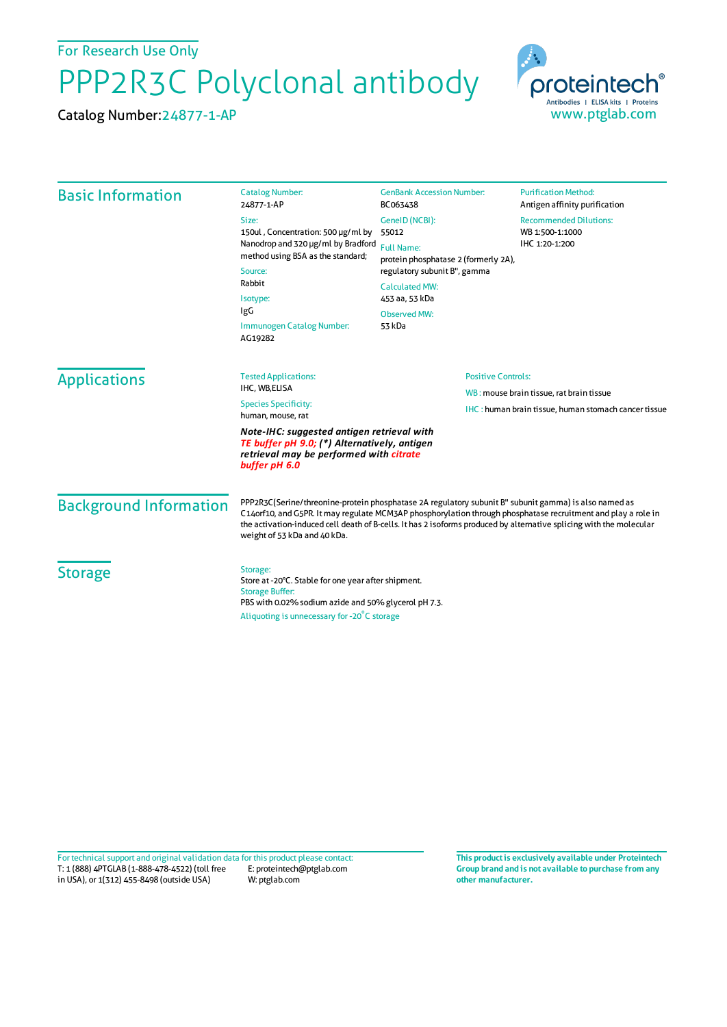For Research Use Only

## PPP2R3C Polyclonal antibody

Catalog Number:24877-1-AP



| <b>Basic Information</b>      | <b>Catalog Number:</b><br>24877-1-AP                                                                                                                                                                                                                                                                                                                                          | <b>GenBank Accession Number:</b><br>BC063438                                                                                                                                                     | <b>Purification Method:</b><br>Antigen affinity purification                                            |
|-------------------------------|-------------------------------------------------------------------------------------------------------------------------------------------------------------------------------------------------------------------------------------------------------------------------------------------------------------------------------------------------------------------------------|--------------------------------------------------------------------------------------------------------------------------------------------------------------------------------------------------|---------------------------------------------------------------------------------------------------------|
|                               | Size:<br>150ul, Concentration: 500 µg/ml by<br>Nanodrop and 320 µg/ml by Bradford<br>method using BSA as the standard;<br>Source:<br>Rabbit<br>Isotype:<br>IgG<br>Immunogen Catalog Number:<br>AG19282                                                                                                                                                                        | GenelD (NCBI):<br>55012<br><b>Full Name:</b><br>protein phosphatase 2 (formerly 2A),<br>regulatory subunit B", gamma<br><b>Calculated MW:</b><br>453 aa, 53 kDa<br><b>Observed MW:</b><br>53 kDa | <b>Recommended Dilutions:</b><br>WB 1:500-1:1000<br>IHC 1:20-1:200                                      |
| <b>Applications</b>           | <b>Tested Applications:</b><br>IHC, WB,ELISA<br><b>Species Specificity:</b><br>human, mouse, rat                                                                                                                                                                                                                                                                              | <b>Positive Controls:</b>                                                                                                                                                                        | WB: mouse brain tissue, rat brain tissue<br><b>IHC:</b> human brain tissue, human stomach cancer tissue |
|                               | Note-IHC: suggested antigen retrieval with<br>TE buffer pH 9.0; (*) Alternatively, antigen<br>retrieval may be performed with citrate<br>buffer pH 6.0                                                                                                                                                                                                                        |                                                                                                                                                                                                  |                                                                                                         |
| <b>Background Information</b> | PPP2R3C(Serine/threonine-protein phosphatase 2A regulatory subunit B" subunit gamma) is also named as<br>C14orf10, and G5PR. It may regulate MCM3AP phosphorylation through phosphatase recruitment and play a role in<br>the activation-induced cell death of B-cells. It has 2 isoforms produced by alternative splicing with the molecular<br>weight of 53 kDa and 40 kDa. |                                                                                                                                                                                                  |                                                                                                         |
| <b>Storage</b>                | Storage:<br>Store at -20°C. Stable for one year after shipment.<br><b>Storage Buffer:</b><br>PBS with 0.02% sodium azide and 50% glycerol pH 7.3.<br>Aliquoting is unnecessary for -20°C storage                                                                                                                                                                              |                                                                                                                                                                                                  |                                                                                                         |

T: 1 (888) 4PTGLAB (1-888-478-4522) (toll free in USA), or 1(312) 455-8498 (outside USA) E: proteintech@ptglab.com W: ptglab.com Fortechnical support and original validation data forthis product please contact: **This productis exclusively available under Proteintech**

**Group brand and is not available to purchase from any other manufacturer.**